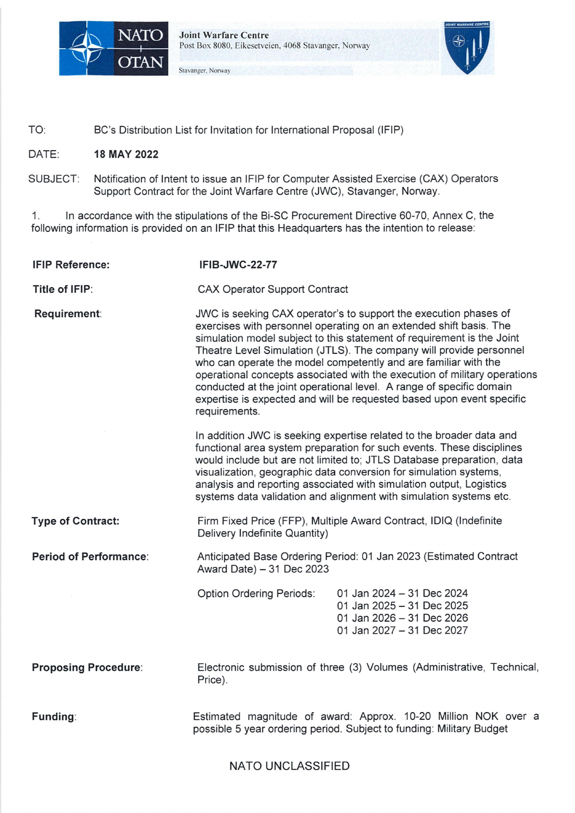

**Joint Warfare Centre** Post Box 8080. Eikesetveien. 4068 Stavanger. Norway

Stavanger, Norway



TO: BC's Distribution List for Invitation for International Proposal (IFIP)

## DATE: **18 MAY 2022**

SUBJECT: Notification of Intent to issue an IFIP for Computer Assisted Exercise (CAX) Operators Support Contract for the Joint Warfare Centre (JWC), Stavanger, Norway.

1. In accordance with the stipulations of the Bi-SC Procurement Directive 60-70, Annex C, the following information is provided on an IFIP that this Headquarters has the intention to release:

| <b>IFIP Reference:</b>      | <b>IFIB-JWC-22-77</b>                                                                                                                                                                                                                                                                                                                                                                                                                                                                                                                                                                                     |                                                                                                                                                                                                                                                                                                                                                                                                                                          |
|-----------------------------|-----------------------------------------------------------------------------------------------------------------------------------------------------------------------------------------------------------------------------------------------------------------------------------------------------------------------------------------------------------------------------------------------------------------------------------------------------------------------------------------------------------------------------------------------------------------------------------------------------------|------------------------------------------------------------------------------------------------------------------------------------------------------------------------------------------------------------------------------------------------------------------------------------------------------------------------------------------------------------------------------------------------------------------------------------------|
| Title of IFIP:              | <b>CAX Operator Support Contract</b>                                                                                                                                                                                                                                                                                                                                                                                                                                                                                                                                                                      |                                                                                                                                                                                                                                                                                                                                                                                                                                          |
| Requirement:                | JWC is seeking CAX operator's to support the execution phases of<br>exercises with personnel operating on an extended shift basis. The<br>simulation model subject to this statement of requirement is the Joint<br>Theatre Level Simulation (JTLS). The company will provide personnel<br>who can operate the model competently and are familiar with the<br>operational concepts associated with the execution of military operations<br>conducted at the joint operational level. A range of specific domain<br>expertise is expected and will be requested based upon event specific<br>requirements. |                                                                                                                                                                                                                                                                                                                                                                                                                                          |
|                             |                                                                                                                                                                                                                                                                                                                                                                                                                                                                                                                                                                                                           | In addition JWC is seeking expertise related to the broader data and<br>functional area system preparation for such events. These disciplines<br>would include but are not limited to; JTLS Database preparation, data<br>visualization, geographic data conversion for simulation systems,<br>analysis and reporting associated with simulation output, Logistics<br>systems data validation and alignment with simulation systems etc. |
| <b>Type of Contract:</b>    | Firm Fixed Price (FFP), Multiple Award Contract, IDIQ (Indefinite<br>Delivery Indefinite Quantity)                                                                                                                                                                                                                                                                                                                                                                                                                                                                                                        |                                                                                                                                                                                                                                                                                                                                                                                                                                          |
| Period of Performance:      | Anticipated Base Ordering Period: 01 Jan 2023 (Estimated Contract<br>Award Date) - 31 Dec 2023                                                                                                                                                                                                                                                                                                                                                                                                                                                                                                            |                                                                                                                                                                                                                                                                                                                                                                                                                                          |
|                             | <b>Option Ordering Periods:</b>                                                                                                                                                                                                                                                                                                                                                                                                                                                                                                                                                                           | 01 Jan 2024 - 31 Dec 2024<br>01 Jan 2025 - 31 Dec 2025<br>01 Jan 2026 - 31 Dec 2026<br>01 Jan 2027 - 31 Dec 2027                                                                                                                                                                                                                                                                                                                         |
| <b>Proposing Procedure:</b> | Electronic submission of three (3) Volumes (Administrative, Technical,<br>Price).                                                                                                                                                                                                                                                                                                                                                                                                                                                                                                                         |                                                                                                                                                                                                                                                                                                                                                                                                                                          |
| Funding:                    | Estimated magnitude of award: Approx. 10-20 Million NOK over a<br>possible 5 year ordering period. Subject to funding: Military Budget                                                                                                                                                                                                                                                                                                                                                                                                                                                                    |                                                                                                                                                                                                                                                                                                                                                                                                                                          |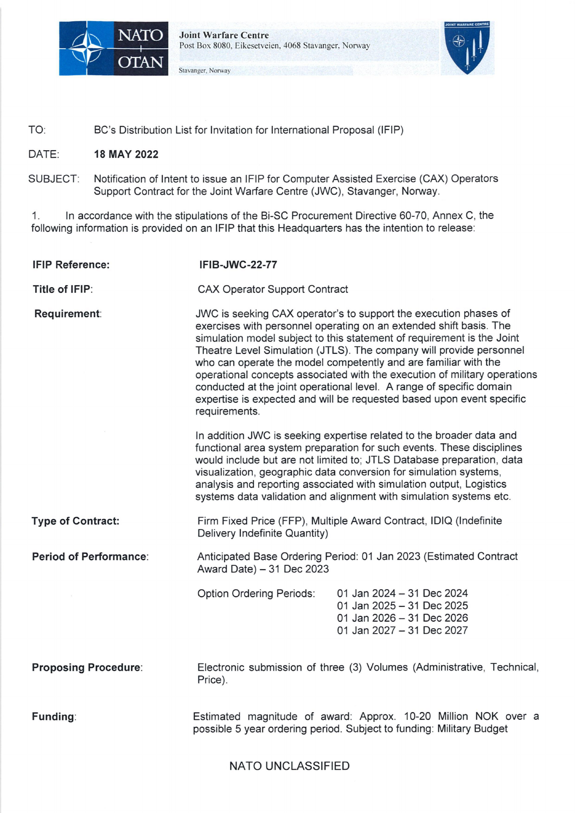## NATO UNCLASSIFIED

| <b>Classification:</b>        | <b>NATO UNCLASSIFIED</b>                                                                                                                                                                                                                                                                                                                                                                                                                                                                                                                                                                                                                                                       |
|-------------------------------|--------------------------------------------------------------------------------------------------------------------------------------------------------------------------------------------------------------------------------------------------------------------------------------------------------------------------------------------------------------------------------------------------------------------------------------------------------------------------------------------------------------------------------------------------------------------------------------------------------------------------------------------------------------------------------|
| <b>Issue Date:</b>            | July 2022, (target date).                                                                                                                                                                                                                                                                                                                                                                                                                                                                                                                                                                                                                                                      |
| <b>Proposal Closing Date:</b> | Oct 2022, (target date)                                                                                                                                                                                                                                                                                                                                                                                                                                                                                                                                                                                                                                                        |
| Eligibility:                  | Governmental or Commercial entities (1) that originate and are<br>chartered/incorporated within NATO-member nations, (2) that maintain a<br>professionally active facility (office, factory, laboratory, etc.) within NATO-<br>member nations and (3) that provide the funding for the aforementioned<br>requirement. Companies which have performed similar contracts within<br>the last three years substantially similar in scope to the requirement<br>described in the solicitation. Contractor personnel performing services<br>under the contract must be citizens of a NATO nation and have<br>appropriate professional training and experience in a related field(s). |
| Delivery location(s):         | Stavanger, Norway                                                                                                                                                                                                                                                                                                                                                                                                                                                                                                                                                                                                                                                              |
| <b>Partial Offers:</b>        | Not Authorized                                                                                                                                                                                                                                                                                                                                                                                                                                                                                                                                                                                                                                                                 |
| Website:                      | www.jwc.nato.int                                                                                                                                                                                                                                                                                                                                                                                                                                                                                                                                                                                                                                                               |

2. Joint Warfare Centre will directly e-mail this IFIP to all potential offerors and will post the tender documents on the Web site above. You are hereby invited to continue to nominate any additional companies by email and before **30 June 2022,** the name, full address, Point of Contact, telephone, and email address, of other potential offerers established within your country. This and any other correspondence hereto is to be addressed to:

Email: NATO UNCLASSIFIED julie.hansen@jwc.nato.int and andres.rincon@jwc.nato.int and pcs@jwc.nato.int

Kjetil Sand NATO Civ, A3 Chief Purchasing & Contracting Joint Warfare Centre